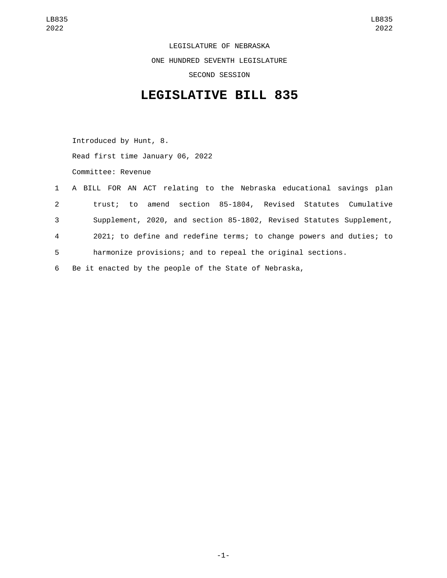LEGISLATURE OF NEBRASKA ONE HUNDRED SEVENTH LEGISLATURE SECOND SESSION

## **LEGISLATIVE BILL 835**

Introduced by Hunt, 8. Read first time January 06, 2022 Committee: Revenue

|                | 1 A BILL FOR AN ACT relating to the Nebraska educational savings plan |
|----------------|-----------------------------------------------------------------------|
| $2^{\circ}$    | trust; to amend section 85-1804, Revised Statutes Cumulative          |
| 3              | Supplement, 2020, and section 85-1802, Revised Statutes Supplement,   |
| $\overline{4}$ | 2021; to define and redefine terms; to change powers and duties; to   |
| 5              | harmonize provisions; and to repeal the original sections.            |
| 6              | Be it enacted by the people of the State of Nebraska,                 |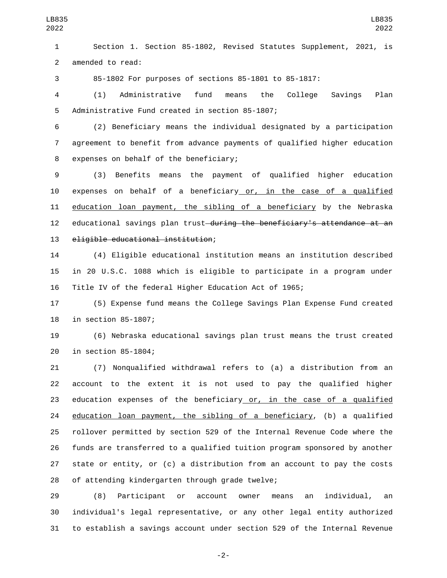Section 1. Section 85-1802, Revised Statutes Supplement, 2021, is 2 amended to read:

85-1802 For purposes of sections 85-1801 to 85-1817:

 (1) Administrative fund means the College Savings Plan 5 Administrative Fund created in section 85-1807;

 (2) Beneficiary means the individual designated by a participation agreement to benefit from advance payments of qualified higher education 8 expenses on behalf of the beneficiary;

 (3) Benefits means the payment of qualified higher education expenses on behalf of a beneficiary or, in the case of a qualified education loan payment, the sibling of a beneficiary by the Nebraska 12 educational savings plan trust<del>-during the beneficiary's attendance at an</del> 13 eligible educational institution;

 (4) Eligible educational institution means an institution described in 20 U.S.C. 1088 which is eligible to participate in a program under Title IV of the federal Higher Education Act of 1965;

 (5) Expense fund means the College Savings Plan Expense Fund created 18 in section 85-1807;

 (6) Nebraska educational savings plan trust means the trust created 20 in section 85-1804;

 (7) Nonqualified withdrawal refers to (a) a distribution from an account to the extent it is not used to pay the qualified higher 23 education expenses of the beneficiary or, in the case of a qualified 24 education loan payment, the sibling of a beneficiary, (b) a qualified rollover permitted by section 529 of the Internal Revenue Code where the funds are transferred to a qualified tuition program sponsored by another state or entity, or (c) a distribution from an account to pay the costs 28 of attending kindergarten through grade twelve;

 (8) Participant or account owner means an individual, an individual's legal representative, or any other legal entity authorized to establish a savings account under section 529 of the Internal Revenue

-2-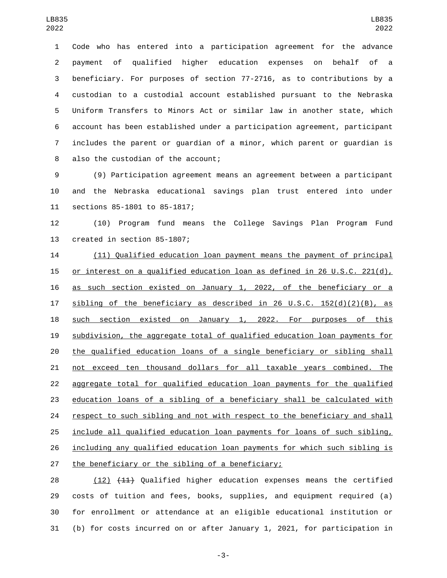Code who has entered into a participation agreement for the advance payment of qualified higher education expenses on behalf of a beneficiary. For purposes of section 77-2716, as to contributions by a custodian to a custodial account established pursuant to the Nebraska Uniform Transfers to Minors Act or similar law in another state, which account has been established under a participation agreement, participant includes the parent or guardian of a minor, which parent or guardian is 8 also the custodian of the account;

 (9) Participation agreement means an agreement between a participant and the Nebraska educational savings plan trust entered into under 11 sections 85-1801 to 85-1817;

 (10) Program fund means the College Savings Plan Program Fund 13 created in section 85-1807;

 (11) Qualified education loan payment means the payment of principal or interest on a qualified education loan as defined in 26 U.S.C. 221(d), as such section existed on January 1, 2022, of the beneficiary or a sibling of the beneficiary as described in 26 U.S.C. 152(d)(2)(B), as such section existed on January 1, 2022. For purposes of this subdivision, the aggregate total of qualified education loan payments for the qualified education loans of a single beneficiary or sibling shall not exceed ten thousand dollars for all taxable years combined. The aggregate total for qualified education loan payments for the qualified education loans of a sibling of a beneficiary shall be calculated with 24 respect to such sibling and not with respect to the beneficiary and shall include all qualified education loan payments for loans of such sibling, including any qualified education loan payments for which such sibling is 27 the beneficiary or the sibling of a beneficiary;

28 (12) (11) Qualified higher education expenses means the certified costs of tuition and fees, books, supplies, and equipment required (a) for enrollment or attendance at an eligible educational institution or (b) for costs incurred on or after January 1, 2021, for participation in

-3-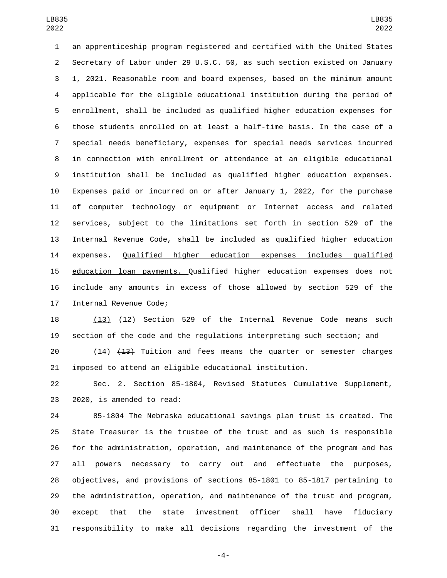an apprenticeship program registered and certified with the United States Secretary of Labor under 29 U.S.C. 50, as such section existed on January 1, 2021. Reasonable room and board expenses, based on the minimum amount applicable for the eligible educational institution during the period of enrollment, shall be included as qualified higher education expenses for those students enrolled on at least a half-time basis. In the case of a special needs beneficiary, expenses for special needs services incurred in connection with enrollment or attendance at an eligible educational institution shall be included as qualified higher education expenses. Expenses paid or incurred on or after January 1, 2022, for the purchase of computer technology or equipment or Internet access and related services, subject to the limitations set forth in section 529 of the Internal Revenue Code, shall be included as qualified higher education expenses. Qualified higher education expenses includes qualified education loan payments. Qualified higher education expenses does not include any amounts in excess of those allowed by section 529 of the 17 Internal Revenue Code;

 (13) (12) Section 529 of the Internal Revenue Code means such section of the code and the regulations interpreting such section; and

 (14) (13) Tuition and fees means the quarter or semester charges imposed to attend an eligible educational institution.

 Sec. 2. Section 85-1804, Revised Statutes Cumulative Supplement, 23 2020, is amended to read:

 85-1804 The Nebraska educational savings plan trust is created. The State Treasurer is the trustee of the trust and as such is responsible for the administration, operation, and maintenance of the program and has all powers necessary to carry out and effectuate the purposes, objectives, and provisions of sections 85-1801 to 85-1817 pertaining to the administration, operation, and maintenance of the trust and program, except that the state investment officer shall have fiduciary responsibility to make all decisions regarding the investment of the

-4-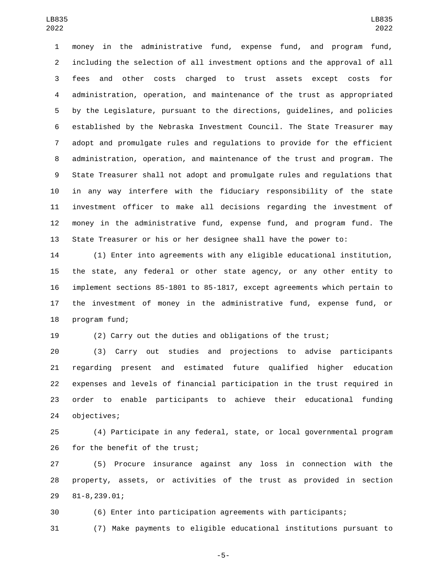money in the administrative fund, expense fund, and program fund, including the selection of all investment options and the approval of all fees and other costs charged to trust assets except costs for administration, operation, and maintenance of the trust as appropriated by the Legislature, pursuant to the directions, guidelines, and policies established by the Nebraska Investment Council. The State Treasurer may adopt and promulgate rules and regulations to provide for the efficient administration, operation, and maintenance of the trust and program. The State Treasurer shall not adopt and promulgate rules and regulations that in any way interfere with the fiduciary responsibility of the state investment officer to make all decisions regarding the investment of money in the administrative fund, expense fund, and program fund. The State Treasurer or his or her designee shall have the power to:

 (1) Enter into agreements with any eligible educational institution, the state, any federal or other state agency, or any other entity to implement sections 85-1801 to 85-1817, except agreements which pertain to the investment of money in the administrative fund, expense fund, or 18 program fund;

(2) Carry out the duties and obligations of the trust;

 (3) Carry out studies and projections to advise participants regarding present and estimated future qualified higher education expenses and levels of financial participation in the trust required in order to enable participants to achieve their educational funding 24 objectives;

 (4) Participate in any federal, state, or local governmental program 26 for the benefit of the trust;

 (5) Procure insurance against any loss in connection with the property, assets, or activities of the trust as provided in section 81-8,239.01;29

(6) Enter into participation agreements with participants;

(7) Make payments to eligible educational institutions pursuant to

-5-